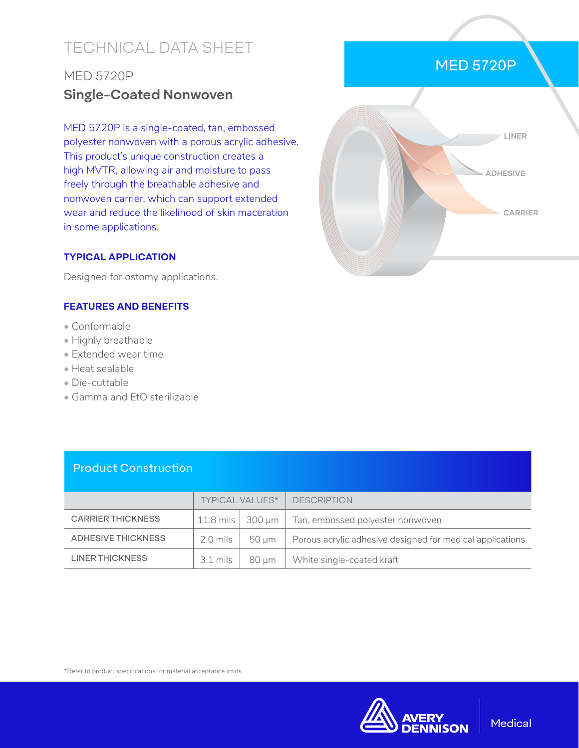# TECHNICAL DATA SHEET

## MED 5720P **Single-Coated Nonwoven**

MED 5720P is a single-coated, tan, embossed polyester nonwoven with a porous acrylic adhesive. This product's unique construction creates a high MVTR, allowing air and moisture to pass freely through the breathable adhesive and nonwoven carrier, which can support extended wear and reduce the likelihood of skin maceration in some applications.

#### **TYPICAL APPLICATION**

Designed for ostomy applications.

#### **FEATURES AND BENEFITS**

- Conformable
- Highly breathable
- Extended wear time
- Heat sealable
- Die-cuttable
- Gamma and EtO sterilizable

| LINER           |
|-----------------|
| <b>ADHESIVE</b> |
| <b>CARRIER</b>  |
|                 |

MED 5720P

### Product Construction

|                           | <b>TYPICAL VALUES*</b> |                            | <b>DESCRIPTION</b>                                        |
|---------------------------|------------------------|----------------------------|-----------------------------------------------------------|
| <b>CARRIER THICKNESS</b>  |                        | $11.8$ mils $\vert$ 300 µm | Tan, embossed polyester nonwoven                          |
| <b>ADHESIVE THICKNESS</b> | 2.0 mils               | 50 um                      | Porous acrylic adhesive designed for medical applications |
| <b>LINER THICKNESS</b>    | $3.1 \text{ miles}$    | 80 µm                      | White single-coated kraft                                 |

\*Refer to product specifications for material acceptance limits.